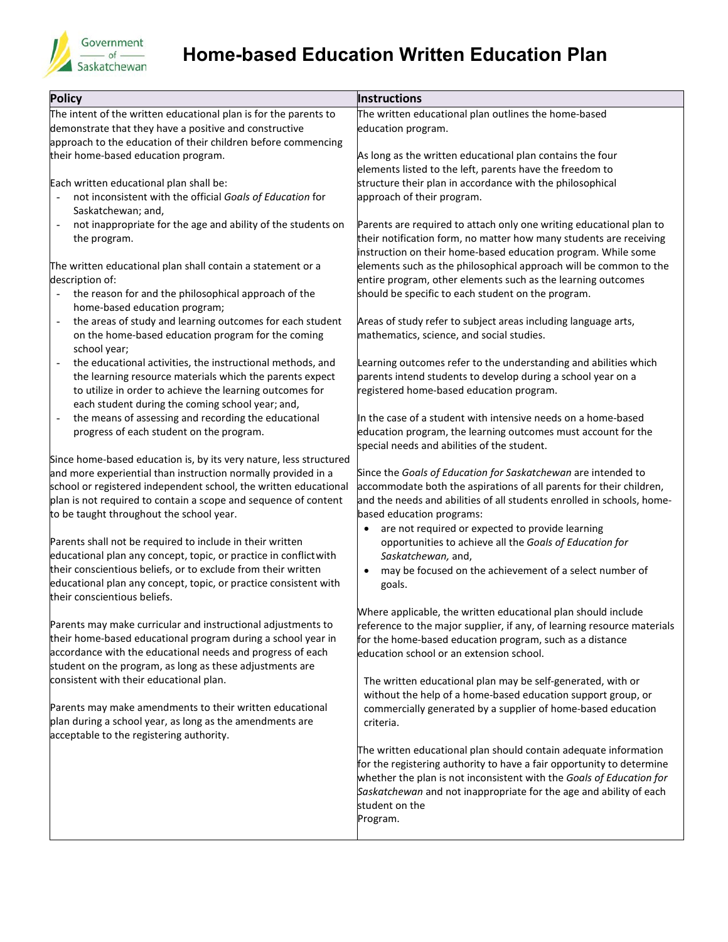

## **Home-based Education Written Education Plan**

| <b>Policy</b>                                                                                                                     | Instructions                                                                                                                         |
|-----------------------------------------------------------------------------------------------------------------------------------|--------------------------------------------------------------------------------------------------------------------------------------|
| The intent of the written educational plan is for the parents to                                                                  | The written educational plan outlines the home-based                                                                                 |
| demonstrate that they have a positive and constructive                                                                            | education program.                                                                                                                   |
| approach to the education of their children before commencing                                                                     |                                                                                                                                      |
| their home-based education program.                                                                                               | As long as the written educational plan contains the four                                                                            |
|                                                                                                                                   | elements listed to the left, parents have the freedom to                                                                             |
| Each written educational plan shall be:                                                                                           | structure their plan in accordance with the philosophical                                                                            |
| not inconsistent with the official Goals of Education for                                                                         | approach of their program.                                                                                                           |
| Saskatchewan; and,                                                                                                                |                                                                                                                                      |
| not inappropriate for the age and ability of the students on                                                                      | Parents are required to attach only one writing educational plan to                                                                  |
| the program.                                                                                                                      | their notification form, no matter how many students are receiving                                                                   |
|                                                                                                                                   | instruction on their home-based education program. While some                                                                        |
| The written educational plan shall contain a statement or a                                                                       | elements such as the philosophical approach will be common to the                                                                    |
| description of:                                                                                                                   | entire program, other elements such as the learning outcomes                                                                         |
| the reason for and the philosophical approach of the<br>$\blacksquare$                                                            | should be specific to each student on the program.                                                                                   |
| home-based education program;                                                                                                     |                                                                                                                                      |
| the areas of study and learning outcomes for each student<br>$\overline{\phantom{a}}$                                             | Areas of study refer to subject areas including language arts,                                                                       |
| on the home-based education program for the coming                                                                                | mathematics, science, and social studies.                                                                                            |
| school year;                                                                                                                      |                                                                                                                                      |
| the educational activities, the instructional methods, and<br>$\overline{\phantom{a}}$                                            | Learning outcomes refer to the understanding and abilities which                                                                     |
| the learning resource materials which the parents expect                                                                          | parents intend students to develop during a school year on a                                                                         |
| to utilize in order to achieve the learning outcomes for                                                                          | registered home-based education program.                                                                                             |
| each student during the coming school year; and,                                                                                  |                                                                                                                                      |
| the means of assessing and recording the educational                                                                              | In the case of a student with intensive needs on a home-based                                                                        |
| progress of each student on the program.                                                                                          | education program, the learning outcomes must account for the                                                                        |
|                                                                                                                                   | special needs and abilities of the student.                                                                                          |
| Since home-based education is, by its very nature, less structured                                                                |                                                                                                                                      |
| and more experiential than instruction normally provided in a<br>school or registered independent school, the written educational | Since the Goals of Education for Saskatchewan are intended to<br>accommodate both the aspirations of all parents for their children, |
| plan is not required to contain a scope and sequence of content                                                                   | and the needs and abilities of all students enrolled in schools, home-                                                               |
| to be taught throughout the school year.                                                                                          | based education programs:                                                                                                            |
|                                                                                                                                   | are not required or expected to provide learning<br>$\bullet$                                                                        |
| Parents shall not be required to include in their written                                                                         | opportunities to achieve all the Goals of Education for                                                                              |
| educational plan any concept, topic, or practice in conflict with                                                                 | Saskatchewan, and,                                                                                                                   |
| their conscientious beliefs, or to exclude from their written                                                                     | may be focused on the achievement of a select number of<br>$\bullet$                                                                 |
| educational plan any concept, topic, or practice consistent with                                                                  | goals.                                                                                                                               |
| their conscientious beliefs.                                                                                                      |                                                                                                                                      |
|                                                                                                                                   | Where applicable, the written educational plan should include                                                                        |
| Parents may make curricular and instructional adjustments to                                                                      | reference to the major supplier, if any, of learning resource materials                                                              |
| their home-based educational program during a school year in                                                                      | for the home-based education program, such as a distance                                                                             |
| accordance with the educational needs and progress of each                                                                        | education school or an extension school.                                                                                             |
| student on the program, as long as these adjustments are                                                                          |                                                                                                                                      |
| consistent with their educational plan.                                                                                           | The written educational plan may be self-generated, with or                                                                          |
|                                                                                                                                   | without the help of a home-based education support group, or                                                                         |
| Parents may make amendments to their written educational                                                                          | commercially generated by a supplier of home-based education                                                                         |
| plan during a school year, as long as the amendments are                                                                          | criteria.                                                                                                                            |
| acceptable to the registering authority.                                                                                          |                                                                                                                                      |
|                                                                                                                                   | The written educational plan should contain adequate information                                                                     |
|                                                                                                                                   | for the registering authority to have a fair opportunity to determine                                                                |
|                                                                                                                                   | whether the plan is not inconsistent with the Goals of Education for                                                                 |
|                                                                                                                                   | Saskatchewan and not inappropriate for the age and ability of each                                                                   |
|                                                                                                                                   | student on the                                                                                                                       |
|                                                                                                                                   | Program.                                                                                                                             |